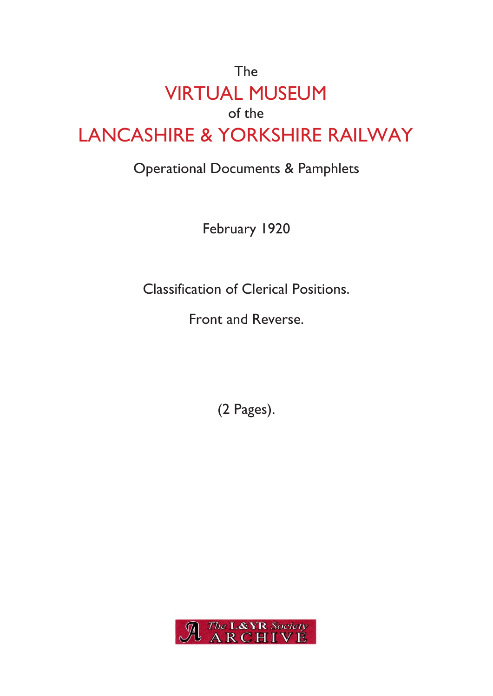## The VIRTUAL MUSEUM of the LANCASHIRE & YORKSHIRE RAILWAY

## Operational Documents & Pamphlets

February 1920

Classification of Clerical Positions.

Front and Reverse.

(2 Pages).

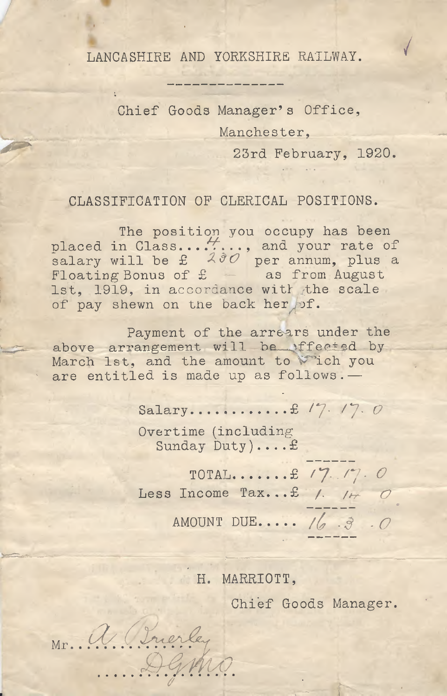**/** LANCASHIRE AND YORKSHIRE RAILWAY.

Chief Goods Manager's Office, Manchester, 23rd February, 1920.

CLASSIFICATION OF CLERICAL POSITIONS.

The position you occupy has been placed in Class......., and your rate of salary will be £ *Z&O* per annum, plus a Floating Bonus of  $f =$  as from August 1st, 1919, in accordance with the scale of pay shewn on the back her of.

Payment of the arrears under the Payment of the arrears under the<br>above arrangement will be ffected by<br>Marsh late and the emeunt to this hour March 1st, and the amount to Wich you<br>are entitled is made up as follows. are entitled is made up as follows. —

£ / 7- Salary / 7. *o*

Overtime (including Sunday Duty)....£

£ / 7. **/**7**.** *O* TOTAL Less Income Tax...£ /. *O*

AMOUNT DUE.... 16 3 0

H. MARRIOTT,

*J*

Chief Goods Manager.

Mr. a. Brierley ..... D. G. M